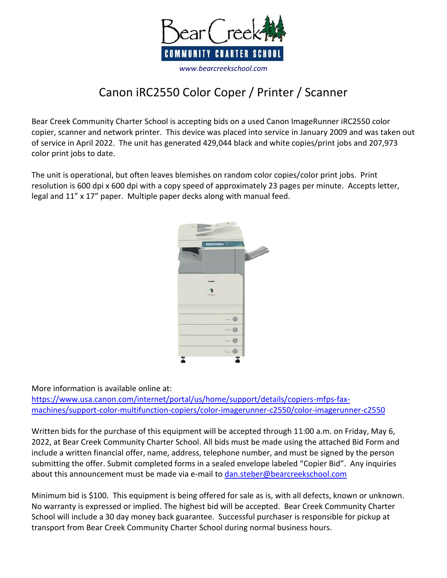

## Canon iRC2550 Color Coper / Printer / Scanner

Bear Creek Community Charter School is accepting bids on a used Canon ImageRunner iRC2550 color copier, scanner and network printer. This device was placed into service in January 2009 and was taken out of service in April 2022. The unit has generated 429,044 black and white copies/print jobs and 207,973 color print jobs to date.

The unit is operational, but often leaves blemishes on random color copies/color print jobs. Print resolution is 600 dpi x 600 dpi with a copy speed of approximately 23 pages per minute. Accepts letter, legal and 11" x 17" paper. Multiple paper decks along with manual feed.



More information is available online at:

[https://www.usa.canon.com/internet/portal/us/home/support/details/copiers-mfps-fax](https://www.usa.canon.com/internet/portal/us/home/support/details/copiers-mfps-fax-machines/support-color-multifunction-copiers/color-imagerunner-c2550/color-imagerunner-c2550)[machines/support-color-multifunction-copiers/color-imagerunner-c2550/color-imagerunner-c2550](https://www.usa.canon.com/internet/portal/us/home/support/details/copiers-mfps-fax-machines/support-color-multifunction-copiers/color-imagerunner-c2550/color-imagerunner-c2550)

Written bids for the purchase of this equipment will be accepted through 11:00 a.m. on Friday, May 6, 2022, at Bear Creek Community Charter School. All bids must be made using the attached Bid Form and include a written financial offer, name, address, telephone number, and must be signed by the person submitting the offer. Submit completed forms in a sealed envelope labeled "Copier Bid". Any inquiries about this announcement must be made via e-mail t[o dan.steber@bearcreekschool.com](mailto:dan.steber@bearcreekschool.com)

Minimum bid is \$100. This equipment is being offered for sale as is, with all defects, known or unknown. No warranty is expressed or implied. The highest bid will be accepted. Bear Creek Community Charter School will include a 30 day money back guarantee. Successful purchaser is responsible for pickup at transport from Bear Creek Community Charter School during normal business hours.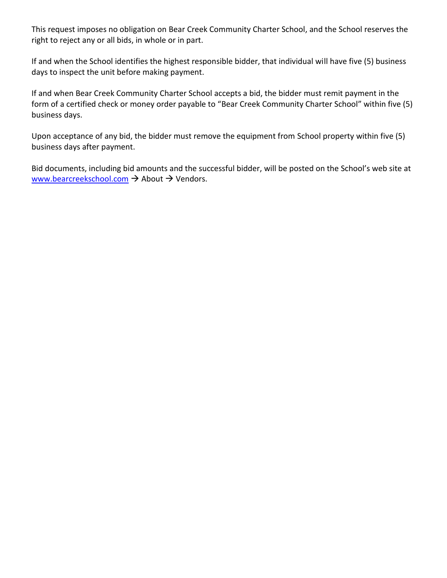This request imposes no obligation on Bear Creek Community Charter School, and the School reserves the right to reject any or all bids, in whole or in part.

If and when the School identifies the highest responsible bidder, that individual will have five (5) business days to inspect the unit before making payment.

If and when Bear Creek Community Charter School accepts a bid, the bidder must remit payment in the form of a certified check or money order payable to "Bear Creek Community Charter School" within five (5) business days.

Upon acceptance of any bid, the bidder must remove the equipment from School property within five (5) business days after payment.

Bid documents, including bid amounts and the successful bidder, will be posted on the School's web site at [www.bearcreekschool.com](http://www.bearcreekschool.com/)  $\rightarrow$  About  $\rightarrow$  Vendors.